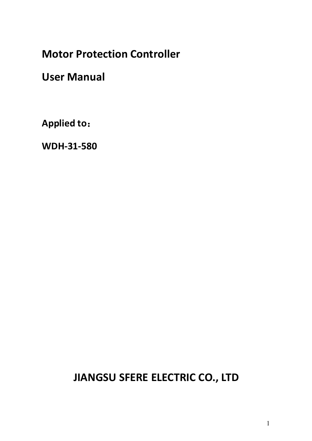**Motor Protection Controller**

**User Manual**

**Applied to**:

**WDH-31-580**

**JIANGSU SFERE ELECTRIC CO., LTD**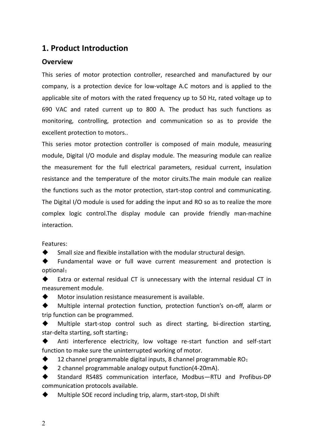#### **1. Product Introduction**

#### **Overview**

This series of motor protection controller, researched and manufactured by our company, is a protection device for low-voltage A.C motors and is applied to the applicable site of motors with the rated frequency up to 50 Hz, rated voltage up to 690 VAC and rated current up to 800 A. The product has such functions as monitoring, controlling, protection and communication so as to provide the excellent protection to motors..

This series motor protection controller is composed of main module, measuring module, Digital I/O module and display module. The measuring module can realize the measurement for the full electrical parameters, residual current, insulation resistance and the temperature of the motor ciruits.The main module can realize the functions such as the motor protection, start-stop control and communicating. The Digital I/O module is used for adding the input and RO so as to realize the more complex logic control.The display module can provide friendly man-machine interaction.

Features:

Small size and flexible installation with the modular structural design.

 Fundamental wave or full wave current measurement and protection is optional;

 Extra or external residual CT is unnecessary with the internal residual CT in measurement module.

Motor insulation resistance measurement is available.

 Multiple internal protection function, protection function's on-off, alarm or trip function can be programmed.

 Multiple start-stop control such as direct starting, bi-direction starting, star-delta starting, soft starting;

Anti interference electricity, low voltage re-start function and self-start function to make sure the uninterrupted working of motor.

12 channel programmable digital inputs, 8 channel programmable RO;

◆ 2 channel programmable analogy output function(4-20mA).

 Standard RS485 communication interface, Modbus—RTU and Profibus-DP communication protocols available.

Multiple SOE record including trip, alarm, start-stop, DI shift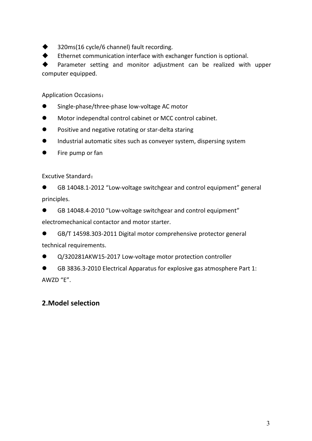320ms(16 cycle/6 channel) fault recording.

Ethernet communication interface with exchanger function is optional.

 Parameter setting and monitor adjustment can be realized with upper computer equipped.

Application Occasions:

- Single-phase/three-phase low-voltage AC motor
- Motor independtal control cabinet or MCC control cabinet.
- **•** Positive and negative rotating or star-delta staring
- Industrial automatic sites such as conveyer system, dispersing system
- **•** Fire pump or fan

Excutive Standard:

 GB 14048.1-2012 "Low-voltage switchgear and control equipment" general principles.

GB 14048.4-2010 "Low-voltage switchgear and control equipment"

electromechanical contactor and motor starter.

 GB/T 14598.303-2011 Digital motor comprehensive protector general technical requirements.

Q/320281AKW15-2017 Low-voltage motor protection controller

 GB 3836.3-2010 Electrical Apparatus for explosive gas atmosphere Part 1:  $\triangle$ WZD "F"

#### **2.Model selection**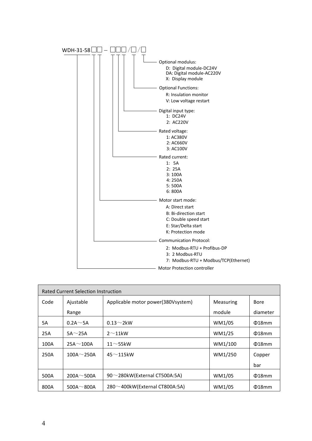

| <b>Rated Current Selection Instruction</b> |                 |                                       |           |             |  |  |
|--------------------------------------------|-----------------|---------------------------------------|-----------|-------------|--|--|
| Code                                       | Ajustable       | Applicable motor power(380Vsystem)    | Measuring | Bore        |  |  |
|                                            | Range           |                                       | module    | diameter    |  |  |
| <b>5A</b>                                  | $0.2A \sim 5A$  | $0.13 \sim 2$ kW                      | WM1/05    | $018$ mm    |  |  |
| 25A                                        | $5A \sim 25A$   | $2^{\sim}11$ kW                       | WM1/25    | $018$ mm    |  |  |
| 100A                                       | $25A \sim 100A$ | $11~$ 55kW                            | WM1/100   | $018$ mm    |  |  |
| 250A                                       | $100A - 250A$   | $45\sim$ 115kW                        | WM1/250   | Copper      |  |  |
|                                            |                 |                                       |           | bar         |  |  |
| 500A                                       | $200A - 500A$   | $90^\sim$ 280kW(External CT500A:5A)   | WM1/05    | $018$ mm    |  |  |
| 800A                                       | $500A - 800A$   | $280 \sim 400$ kW(External CT800A:5A) | WM1/05    | $\Phi$ 18mm |  |  |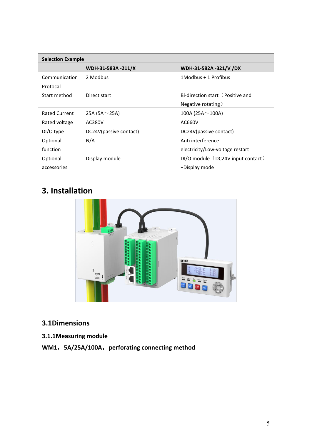| <b>Selection Example</b> |                        |                                   |  |  |
|--------------------------|------------------------|-----------------------------------|--|--|
|                          | WDH-31-583A -211/X     | WDH-31-582A -321/V /DX            |  |  |
| Communication            | 2 Modbus               | 1Modbus + 1 Profibus              |  |  |
| Protocal                 |                        |                                   |  |  |
| Start method             | Direct start           | Bi-direction start (Positive and  |  |  |
|                          |                        | Negative rotating)                |  |  |
| <b>Rated Current</b>     | 25A (5A $\sim$ 25A)    | 100A (25A $\sim$ 100A)            |  |  |
| Rated voltage            | AC380V                 | AC660V                            |  |  |
| DI/O type                | DC24V(passive contact) | DC24V(passive contact)            |  |  |
| Optional                 | N/A                    | Anti interference                 |  |  |
| function                 |                        | electricity/Low-voltage restart   |  |  |
| Optional                 | Display module         | DI/O module (DC24V input contact) |  |  |
| accessories              |                        | +Display mode                     |  |  |

# **3. Installation**



### **3.1Dimensions**

#### **3.1.1Measuring module**

## **WM1**,**5A/25A/100A**,**perforating connecting method**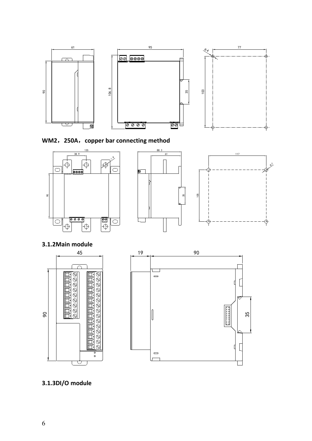













### **3.1.3DI/O module**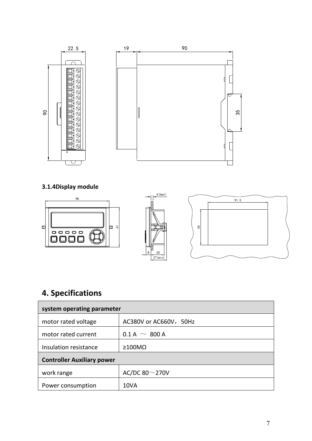

**3.1.4Display module**



## **4. Specifications**

| system operating parameter        |                        |  |  |  |
|-----------------------------------|------------------------|--|--|--|
| motor rated voltage               | AC380V or AC660V, 50Hz |  |  |  |
| motor rated current               | $0.1 A \sim 800 A$     |  |  |  |
| Insulation resistance             | $\geq 100$ M $\Omega$  |  |  |  |
| <b>Controller Auxiliary power</b> |                        |  |  |  |
| work range                        | AC/DC 80 $\sim$ 270V   |  |  |  |
| Power consumption                 | 10VA                   |  |  |  |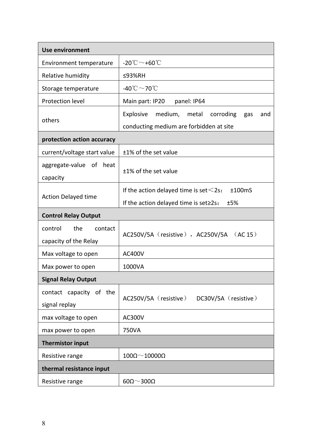| <b>Use environment</b>                             |                                                                                                  |  |  |  |
|----------------------------------------------------|--------------------------------------------------------------------------------------------------|--|--|--|
| Environment temperature                            | -20 $^{\circ}$ C $\sim$ +60 $^{\circ}$ C                                                         |  |  |  |
| Relative humidity                                  | ≤93%RH                                                                                           |  |  |  |
| Storage temperature                                | -40 $^{\circ}$ C $\sim$ 70 $^{\circ}$ C                                                          |  |  |  |
| Protection level                                   | Main part: IP20<br>panel: IP64                                                                   |  |  |  |
| others                                             | medium,<br>Explosive<br>metal corroding<br>gas<br>and<br>conducting medium are forbidden at site |  |  |  |
| protection action accuracy                         |                                                                                                  |  |  |  |
| current/voltage start value                        | ±1% of the set value                                                                             |  |  |  |
| aggregate-value of heat<br>capacity                | ±1% of the set value                                                                             |  |  |  |
|                                                    | If the action delayed time is set $\leq$ 2s:<br>±100mS                                           |  |  |  |
| Action Delayed time                                | If the action delayed time is set≥2s:<br>±5%                                                     |  |  |  |
| <b>Control Relay Output</b>                        |                                                                                                  |  |  |  |
| the<br>control<br>contact<br>capacity of the Relay | AC250V/5A (resistive), AC250V/5A (AC 15)                                                         |  |  |  |
| Max voltage to open                                | <b>AC400V</b>                                                                                    |  |  |  |
| Max power to open                                  | 1000VA                                                                                           |  |  |  |
| <b>Signal Relay Output</b>                         |                                                                                                  |  |  |  |
| contact capacity of the<br>signal replay           | AC250V/5A (resistive)<br>DC30V/5A (resistive)                                                    |  |  |  |
| max voltage to open                                | AC300V                                                                                           |  |  |  |
| max power to open                                  | 750VA                                                                                            |  |  |  |
| <b>Thermistor input</b>                            |                                                                                                  |  |  |  |
| Resistive range                                    | $100\Omega\!\simeq\!10000\Omega$                                                                 |  |  |  |
| thermal resistance input                           |                                                                                                  |  |  |  |
| Resistive range                                    | $60\Omega$ ~ 300 $\Omega$                                                                        |  |  |  |